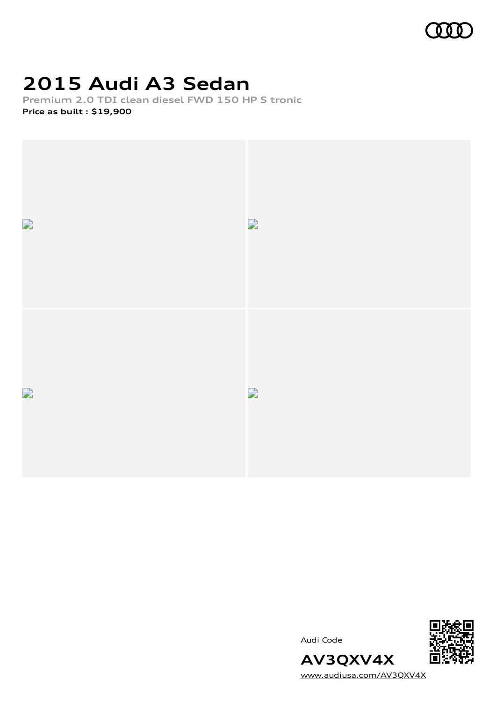

# **2015 Audi A3 Sedan**

**Premium 2.0 TDI clean diesel FWD 150 HP S tronic**

**Price as built [:](#page-9-0) \$19,900**



Audi Code



[www.audiusa.com/AV3QXV4X](https://www.audiusa.com/AV3QXV4X)

**AV3QXV4X**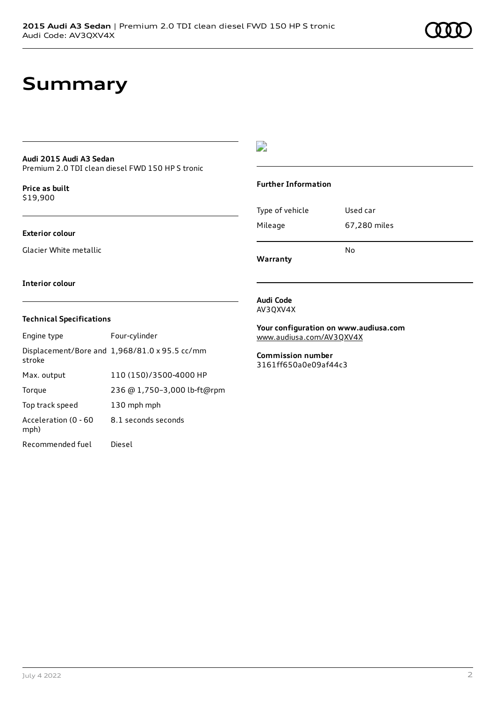## **Summary**

### **Audi 2015 Audi A3 Sedan**

Premium 2.0 TDI clean diesel FWD 150 HP S tronic

**Price as buil[t](#page-9-0)** \$19,900

#### **Exterior colour**

Glacier White metallic

### $\overline{\phantom{a}}$

#### **Further Information**

|                 | N٥           |  |
|-----------------|--------------|--|
| Mileage         | 67,280 miles |  |
| Type of vehicle | Used car     |  |

**Interior colour**

### **Technical Specifications**

| Engine type                  | Four-cylinder                                 |
|------------------------------|-----------------------------------------------|
| stroke                       | Displacement/Bore and 1,968/81.0 x 95.5 cc/mm |
| Max. output                  | 110 (150)/3500-4000 HP                        |
| Torque                       | 236 @ 1,750-3,000 lb-ft@rpm                   |
| Top track speed              | 130 mph mph                                   |
| Acceleration (0 - 60<br>mph) | 8.1 seconds seconds                           |
| Recommended fuel             | Diesel                                        |

#### **Audi Code** AV3QXV4X

**Warranty**

**Your configuration on www.audiusa.com** [www.audiusa.com/AV3QXV4X](https://www.audiusa.com/AV3QXV4X)

**Commission number** 3161ff650a0e09af44c3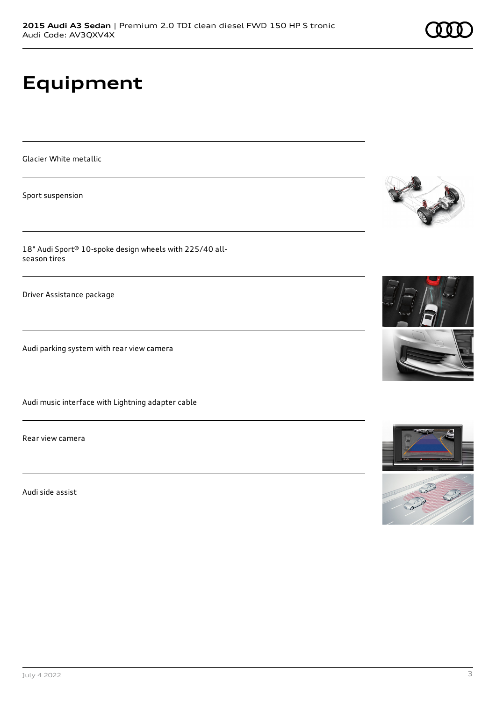# **Equipment**

Glacier White metallic

Sport suspension

18" Audi Sport® 10-spoke design wheels with 225/40 allseason tires

Driver Assistance package

Audi parking system with rear view camera

Audi music interface with Lightning adapter cable

Rear view camera

Audi side assist









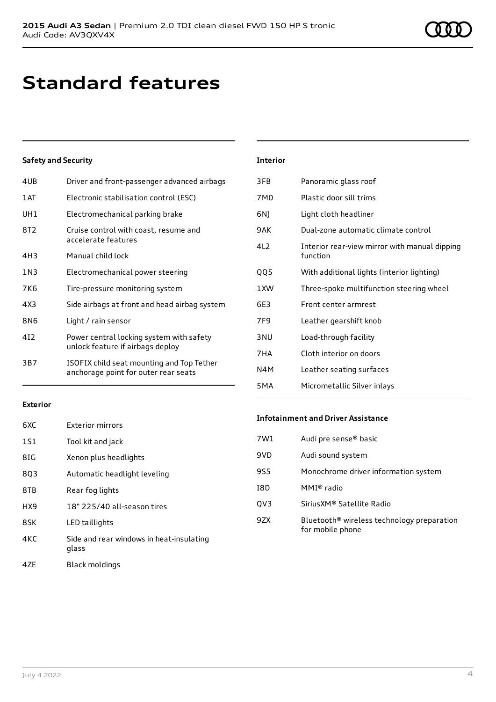# **Standard features**

### **Safety and Security**

| 4UB   | Driver and front-passenger advanced airbags                                       |
|-------|-----------------------------------------------------------------------------------|
| 1 AT  | Electronic stabilisation control (ESC)                                            |
| UH1   | Electromechanical parking brake                                                   |
| 8T2   | Cruise control with coast, resume and<br>accelerate features                      |
| 4H3   | Manual child lock                                                                 |
| 1 N 3 | Electromechanical power steering                                                  |
| 7K6   | Tire-pressure monitoring system                                                   |
| 4X3   | Side airbags at front and head airbag system                                      |
| 8N6   | Light / rain sensor                                                               |
| 412   | Power central locking system with safety<br>unlock feature if airbags deploy      |
| 3B7   | ISOFIX child seat mounting and Top Tether<br>anchorage point for outer rear seats |
|       |                                                                                   |

| <b>Interior</b> |                                                           |
|-----------------|-----------------------------------------------------------|
| 3FB             | Panoramic glass roof                                      |
| 7M <sub>0</sub> | Plastic door sill trims                                   |
| 6N)             | Light cloth headliner                                     |
| 9AK             | Dual-zone automatic climate control                       |
| 4L2             | Interior rear-view mirror with manual dipping<br>function |
| QQ5             | With additional lights (interior lighting)                |
| 1XW             | Three-spoke multifunction steering wheel                  |
| 6E3             | Front center armrest                                      |
| 7F <sub>9</sub> | Leather gearshift knob                                    |
| 3 <sub>NU</sub> | Load-through facility                                     |
| 7HA             | Cloth interior on doors                                   |
| N4M             | Leather seating surfaces                                  |
| 5MA             | Micrometallic Silver inlays                               |

#### **Exterior**

| <b>Exterior mirrors</b>                           |
|---------------------------------------------------|
| Tool kit and jack                                 |
| Xenon plus headlights                             |
| Automatic headlight leveling                      |
| Rear fog lights                                   |
| 18" 225/40 all-season tires                       |
| LED taillights                                    |
| Side and rear windows in heat-insulating<br>glass |
|                                                   |

### 4ZE Black moldings

#### **Infotainment and Driver Assistance**

| Audi pre sense <sup>®</sup> basic                                          |
|----------------------------------------------------------------------------|
| Audi sound system                                                          |
| Monochrome driver information system                                       |
| MMI® radio                                                                 |
| SiriusXM® Satellite Radio                                                  |
| Bluetooth <sup>®</sup> wireless technology preparation<br>for mobile phone |
|                                                                            |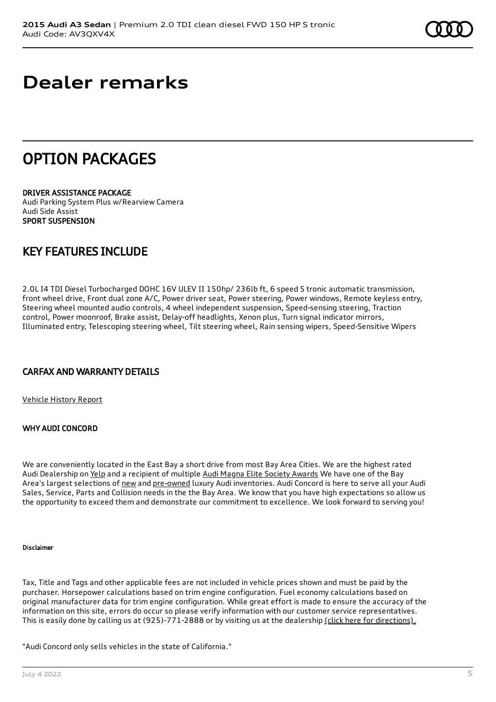# **Dealer remarks**

## OPTION PACKAGES

DRIVER ASSISTANCE PACKAGE Audi Parking System Plus w/Rearview Camera Audi Side Assist SPORT SUSPENSION

## KEY FEATURES INCLUDE

2.0L I4 TDI Diesel Turbocharged DOHC 16V ULEV II 150hp/ 236lb ft, 6 speed S tronic automatic transmission, front wheel drive, Front dual zone A/C, Power driver seat, Power steering, Power windows, Remote keyless entry, Steering wheel mounted audio controls, 4 wheel independent suspension, Speed-sensing steering, Traction control, Power moonroof, Brake assist, Delay-off headlights, Xenon plus, Turn signal indicator mirrors, Illuminated entry, Telescoping steering wheel, Tilt steering wheel, Rain sensing wipers, Speed-Sensitive Wipers

## CARFAX AND WARRANTY DETAILS

[Vehicle](https://www.carfax.com/VehicleHistory/p/Report.cfx?partner=DLR_3&vin=WAUAJGFF0F1071558) History Report

### WHY AUDI CONCORD

We are conveniently located in the East Bay a short drive from most Bay Area Cities. We are the highest rated Audi Dealership on [Yelp](https://www.yelp.com/biz/audi-concord-concord) and a recipient of multiple Audi Magna Elite Society [Awards](https://www.audiconcord.com/magna-society-award.htm) We have one of the Bay Area's largest selections of [new](https://www.audiconcord.com/new-inventory/index.htm) and [pre-owned](https://www.audiconcord.com/used-inventory/index.htm) luxury Audi inventories. Audi Concord is here to serve all your Audi Sales, Service, Parts and Collision needs in the the Bay Area. We know that you have high expectations so allow us the opportunity to exceed them and demonstrate our commitment to excellence. We look forward to serving you!

### Disclaimer

Tax, Title and Tags and other applicable fees are not included in vehicle prices shown and must be paid by the purchaser. Horsepower calculations based on trim engine configuration. Fuel economy calculations based on original manufacturer data for trim engine configuration. While great effort is made to ensure the accuracy of the information on this site, errors do occur so please verify information with our customer service representatives. This is easily done by calling us at (925)-771-2888 or by visiting us at the dealership (click here for [directions\).](https://www.audiconcord.com/dealership/directions.htm)

"Audi Concord only sells vehicles in the state of California."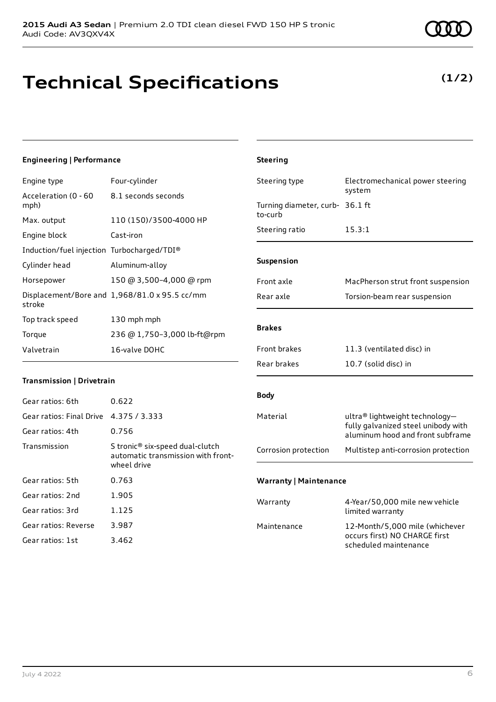## **Technical Specifications**

#### July 4 2022 6

## **Engineering | Performance**

| Engine type                                | Four-cylinder                                 |
|--------------------------------------------|-----------------------------------------------|
| Acceleration (0 - 60<br>mph)               | 8.1 seconds seconds                           |
| Max. output                                | 110 (150)/3500-4000 HP                        |
| Engine block                               | Cast-iron                                     |
| Induction/fuel injection Turbocharged/TDI® |                                               |
| Cylinder head                              | Aluminum-alloy                                |
| Horsepower                                 | 150 @ 3,500-4,000 @ rpm                       |
| stroke                                     | Displacement/Bore and 1,968/81.0 x 95.5 cc/mm |
| Top track speed                            | 130 mph mph                                   |
| Torque                                     | 236 @ 1,750-3,000 lb-ft@rpm                   |
| Valvetrain                                 | 16-valve DOHC                                 |

### **Transmission | Drivetrain**

| Gear ratios: 6th         | 0.622                                                                                            |
|--------------------------|--------------------------------------------------------------------------------------------------|
| Gear ratios: Final Drive | 4.375 / 3.333                                                                                    |
| Gear ratios: 4th         | 0.756                                                                                            |
| Transmission             | S tronic <sup>®</sup> six-speed dual-clutch<br>automatic transmission with front-<br>wheel drive |
| Gear ratios: 5th         | 0.763                                                                                            |
| Gear ratios: 2nd         | 1.905                                                                                            |
| Gear ratios: 3rd         | 1.125                                                                                            |
| Gear ratios: Reverse     | 3.987                                                                                            |
| Gear ratios: 1st         | 3.462                                                                                            |

| <b>Steering</b>                    |                                                                                                           |
|------------------------------------|-----------------------------------------------------------------------------------------------------------|
| Steering type                      | Electromechanical power steering<br>system                                                                |
| Turning diameter, curb-<br>to-curb | 36.1 ft                                                                                                   |
| Steering ratio                     | 15.3:1                                                                                                    |
| Suspension                         |                                                                                                           |
| Front axle                         | MacPherson strut front suspension                                                                         |
| Rear axle                          | Torsion-beam rear suspension                                                                              |
| <b>Brakes</b>                      |                                                                                                           |
| <b>Front brakes</b>                | 11.3 (ventilated disc) in                                                                                 |
| Rear brakes                        | 10.7 (solid disc) in                                                                                      |
| <b>Body</b>                        |                                                                                                           |
| Material                           | ultra® lightweight technology-<br>fully galvanized steel unibody with<br>aluminum hood and front subframe |
| Corrosion protection               | Multistep anti-corrosion protection                                                                       |
| <b>Warranty   Maintenance</b>      |                                                                                                           |
| Warranty                           | 4-Year/50,000 mile new vehicle<br>limited warranty                                                        |
| Maintenance                        | 12-Month/5,000 mile (whichever<br>occurs first) NO CHARGE first                                           |

scheduled maintenance



## **(1/2)**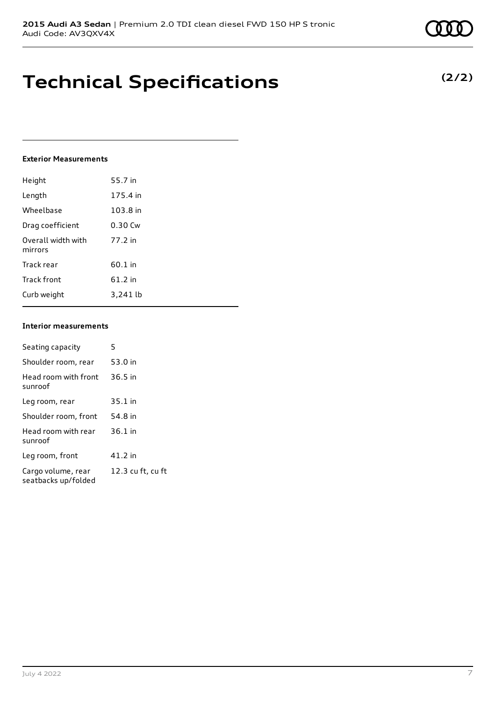## **Technical Specifications**

#### **Exterior Measurements**

| Height                        | 55.7 in   |
|-------------------------------|-----------|
| Length                        | 175.4 in  |
| Wheelbase                     | 103.8 in  |
| Drag coefficient              | $0.30$ Cw |
| Overall width with<br>mirrors | 77.2 in   |
| Track rear                    | 60.1 in   |
| <b>Track front</b>            | 61.2 in   |
| Curb weight                   | 3.241 lb  |

### **Interior measurements**

| Seating capacity                          | 5                 |
|-------------------------------------------|-------------------|
| Shoulder room, rear                       | 53.0 in           |
| Head room with front<br>sunroof           | $36.5$ in         |
| Leg room, rear                            | $35.1$ in         |
| Shoulder room, front                      | 54.8 in           |
| Head room with rear<br>sunroof            | $36.1$ in         |
| Leg room, front                           | 41.2 in           |
| Cargo volume, rear<br>seatbacks up/folded | 12.3 cu ft, cu ft |

### **(2/2)**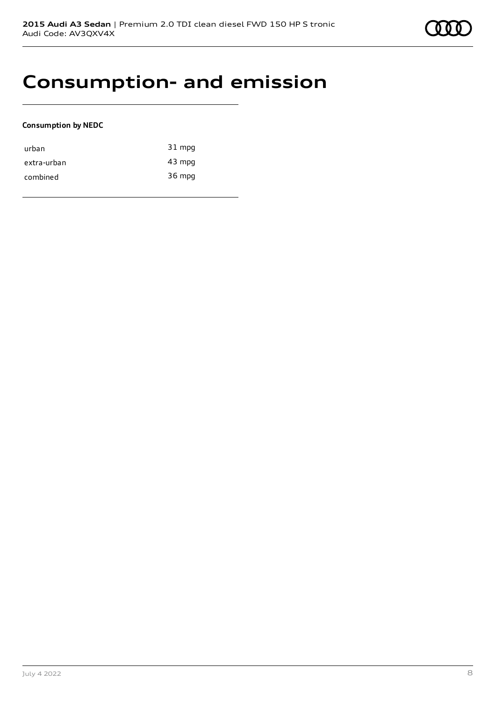## **Consumption- and emission**

### **Consumption by NEDC**

| urban       | $31$ mpg |
|-------------|----------|
| extra-urban | 43 mpg   |
| combined    | 36 mpg   |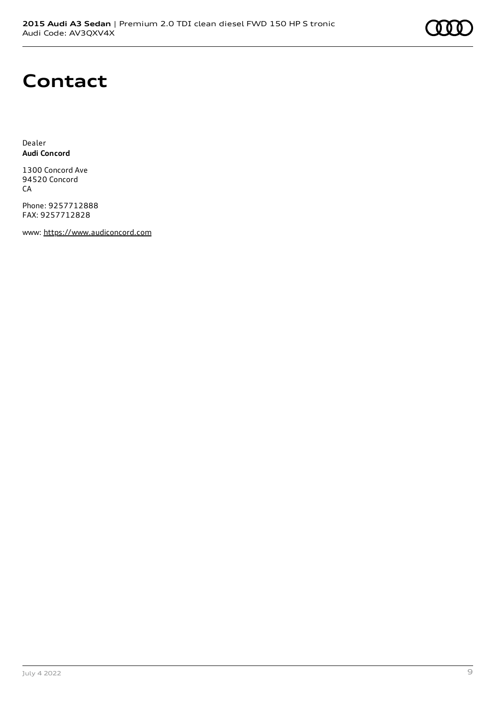

## **Contact**

Dealer **Audi Concord**

1300 Concord Ave 94520 Concord CA

Phone: 9257712888 FAX: 9257712828

www: [https://www.audiconcord.com](https://www.audiconcord.com/)